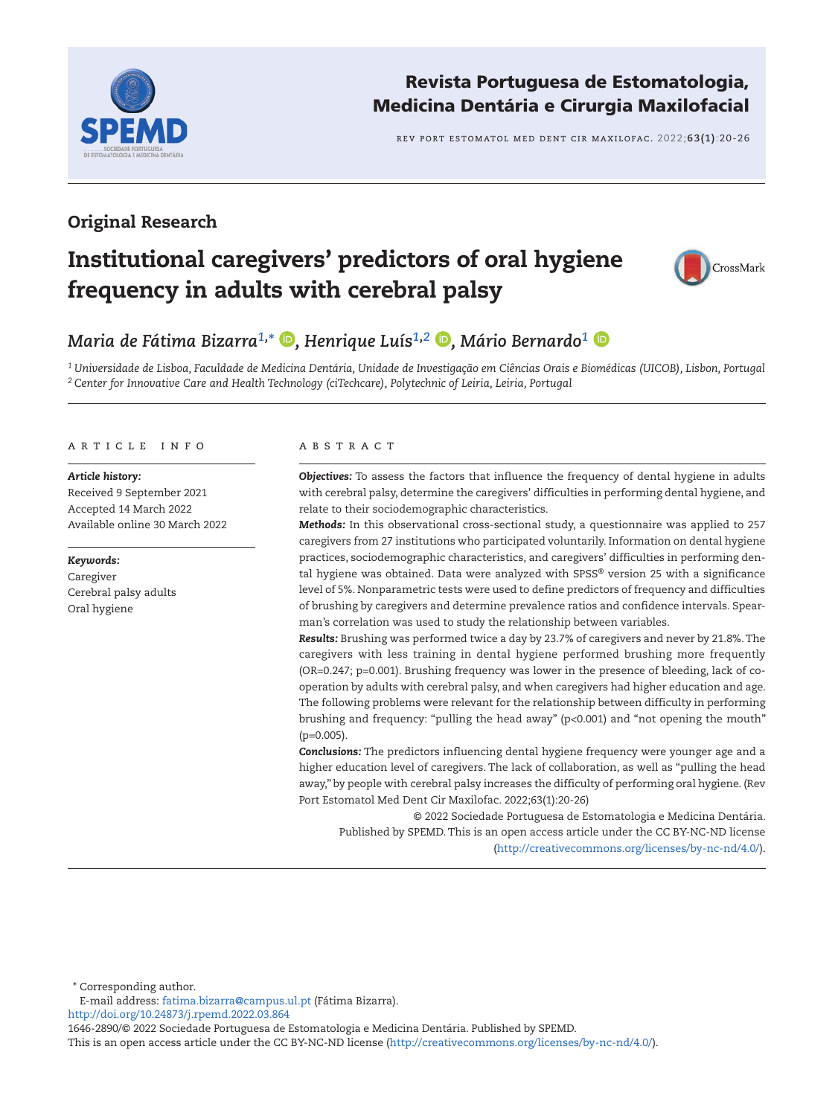

# Revista Portuguesa de Estomatologia, Medicina Dentária e Cirurgia Maxilofacial

rev port estomatol med dent cir maxilofac. 2022;**63(1)**:20-26

## Original Research

# Institutional caregivers' predictors of oral hygiene frequency in adults with cerebral palsy



# *Maria de Fátima Bizarra1, \* [,](https://orcid.org/0000-0003-2186-0563) Henrique Luís1,2 [,](https://orcid.org/0000-0002-1092-7825) Mário Bernardo1*

*1 Universidade de Lisboa, Faculdade de Medicina Dentária, Unidade de Investigação em Ciências Orais e Biomédicas (UICOB), Lisbon, Portugal 2 Center for Innovative Care and Health Technology (ciTechcare), Polytechnic of Leiria, Leiria, Portugal*

#### A R T I C L E I N F O A B S T R A C T

#### *Article history:*

Received 9 September 2021 Accepted 14 March 2022 Available online 30 March 2022

#### *Keywords:*

Caregiver Cerebral palsy adults Oral hygiene

*Objectives:* To assess the factors that influence the frequency of dental hygiene in adults with cerebral palsy, determine the caregivers' difficulties in performing dental hygiene, and relate to their sociodemographic characteristics.

*Methods:* In this observational cross-sectional study, a questionnaire was applied to 257 caregivers from 27 institutions who participated voluntarily. Information on dental hygiene practices, sociodemographic characteristics, and caregivers' difficulties in performing dental hygiene was obtained. Data were analyzed with SPSS® version 25 with a significance level of 5%. Nonparametric tests were used to define predictors of frequency and difficulties of brushing by caregivers and determine prevalence ratios and confidence intervals. Spearman's correlation was used to study the relationship between variables.

*Results:* Brushing was performed twice a day by 23.7% of caregivers and never by 21.8%. The caregivers with less training in dental hygiene performed brushing more frequently (OR=0.247; p=0.001). Brushing frequency was lower in the presence of bleeding, lack of cooperation by adults with cerebral palsy, and when caregivers had higher education and age. The following problems were relevant for the relationship between difficulty in performing brushing and frequency: "pulling the head away" (p<0.001) and "not opening the mouth" (p=0.005).

*Conclusions:* The predictors influencing dental hygiene frequency were younger age and a higher education level of caregivers. The lack of collaboration, as well as "pulling the head away," by people with cerebral palsy increases the difficulty of performing oral hygiene. (Rev Port Estomatol Med Dent Cir Maxilofac. 2022;63(1):20-26)

© 2022 Sociedade Portuguesa de Estomatologia e Medicina Dentária. Published by SPEMD. This is an open access article under the CC BY-NC-ND license [\(http://creativecommons.org/licenses/by-nc-nd/4.0/](http://creativecommons.org/licenses/by-nc-nd/4.0/)).

\* Corresponding author.

E-mail address: [fatima.bizarra@campus.ul.pt](mailto:fatima.bizarra%40campus.ul.pt?subject=) (Fátima Bizarra).

<http://doi.org/10.24873/j.rpemd.2022.03.864>

1646-2890/© 2022 Sociedade Portuguesa de Estomatologia e Medicina Dentária. Published by SPEMD.

This is an open access article under the CC BY-NC-ND license [\(http://creativecommons.org/licenses/by-nc-nd/4.0/\)](http://creativecommons.org/licenses/by-nc-nd/4.0/).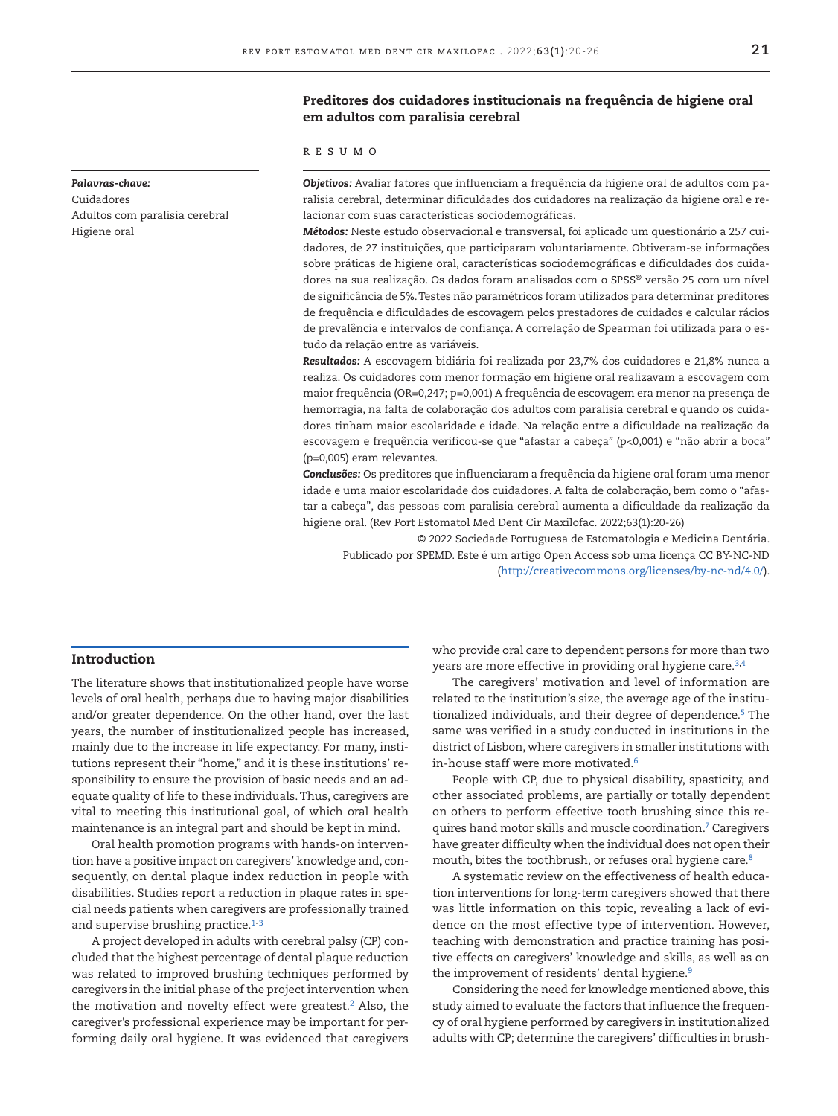#### Preditores dos cuidadores institucionais na frequência de higiene oral em adultos com paralisia cerebral

r e s u m o

*Objetivos:* Avaliar fatores que influenciam a frequência da higiene oral de adultos com paralisia cerebral, determinar dificuldades dos cuidadores na realização da higiene oral e relacionar com suas características sociodemográficas.

*Métodos:* Neste estudo observacional e transversal, foi aplicado um questionário a 257 cuidadores, de 27 instituições, que participaram voluntariamente. Obtiveram-se informações sobre práticas de higiene oral, características sociodemográficas e dificuldades dos cuidadores na sua realização. Os dados foram analisados com o SPSS® versão 25 com um nível de significância de 5%. Testes não paramétricos foram utilizados para determinar preditores de frequência e dificuldades de escovagem pelos prestadores de cuidados e calcular rácios de prevalência e intervalos de confiança. A correlação de Spearman foi utilizada para o estudo da relação entre as variáveis.

*Resultados:* A escovagem bidiária foi realizada por 23,7% dos cuidadores e 21,8% nunca a realiza. Os cuidadores com menor formação em higiene oral realizavam a escovagem com maior frequência (OR=0,247; p=0,001) A frequência de escovagem era menor na presença de hemorragia, na falta de colaboração dos adultos com paralisia cerebral e quando os cuidadores tinham maior escolaridade e idade. Na relação entre a dificuldade na realização da escovagem e frequência verificou-se que "afastar a cabeça" (p<0,001) e "não abrir a boca" (p=0,005) eram relevantes.

*Conclusões:* Os preditores que influenciaram a frequência da higiene oral foram uma menor idade e uma maior escolaridade dos cuidadores. A falta de colaboração, bem como o "afastar a cabeça", das pessoas com paralisia cerebral aumenta a dificuldade da realização da higiene oral. (Rev Port Estomatol Med Dent Cir Maxilofac. 2022;63(1):20-26)

© 2022 Sociedade Portuguesa de Estomatologia e Medicina Dentária. Publicado por SPEMD. Este é um artigo Open Access sob uma licença CC BY-NC-ND [\(http://creativecommons.org/licenses/by-nc-nd/4.0/\)](http://creativecommons.org/licenses/by-nc-nd/4.0/).

#### Introduction

The literature shows that institutionalized people have worse levels of oral health, perhaps due to having major disabilities and/or greater dependence. On the other hand, over the last years, the number of institutionalized people has increased, mainly due to the increase in life expectancy. For many, institutions represent their "home," and it is these institutions' responsibility to ensure the provision of basic needs and an adequate quality of life to these individuals. Thus, caregivers are vital to meeting this institutional goal, of which oral health maintenance is an integral part and should be kept in mind.

Oral health promotion programs with hands-on intervention have a positive impact on caregivers' knowledge and, consequently, on dental plaque index reduction in people with disabilities. Studies report a reduction in plaque rates in special needs patients when caregivers are professionally trained and supervise brushing practice.<sup>[1-](#page-5-0)[3](#page-5-1)</sup>

A project developed in adults with cerebral palsy (CP) concluded that the highest percentage of dental plaque reduction was related to improved brushing techniques performed by caregivers in the initial phase of the project intervention when the motivation and novelty effect were greatest.<sup>2</sup> Also, the caregiver's professional experience may be important for performing daily oral hygiene. It was evidenced that caregivers

who provide oral care to dependent persons for more than two years are more effective in providing oral hygiene care.<sup>3,[4](#page-5-3)</sup>

The caregivers' motivation and level of information are related to the institution's size, the average age of the institutionalized individuals, and their degree of dependence.<sup>5</sup> The same was verified in a study conducted in institutions in the district of Lisbon, where caregivers in smaller institutions with in-house staff were more motivated.[6](#page-5-5)

People with CP, due to physical disability, spasticity, and other associated problems, are partially or totally dependent on others to perform effective tooth brushing since this requires hand motor skills and muscle coordination[.7](#page-5-6) Caregivers have greater difficulty when the individual does not open their mouth, bites the toothbrush, or refuses oral hygiene care.<sup>8</sup>

A systematic review on the effectiveness of health education interventions for long-term caregivers showed that there was little information on this topic, revealing a lack of evidence on the most effective type of intervention. However, teaching with demonstration and practice training has positive effects on caregivers' knowledge and skills, as well as on the improvement of residents' dental hygiene.<sup>9</sup>

Considering the need for knowledge mentioned above, this study aimed to evaluate the factors that influence the frequency of oral hygiene performed by caregivers in institutionalized adults with CP; determine the caregivers' difficulties in brush-

#### *Palavras-chave:*

Cuidadores Adultos com paralisia cerebral Higiene oral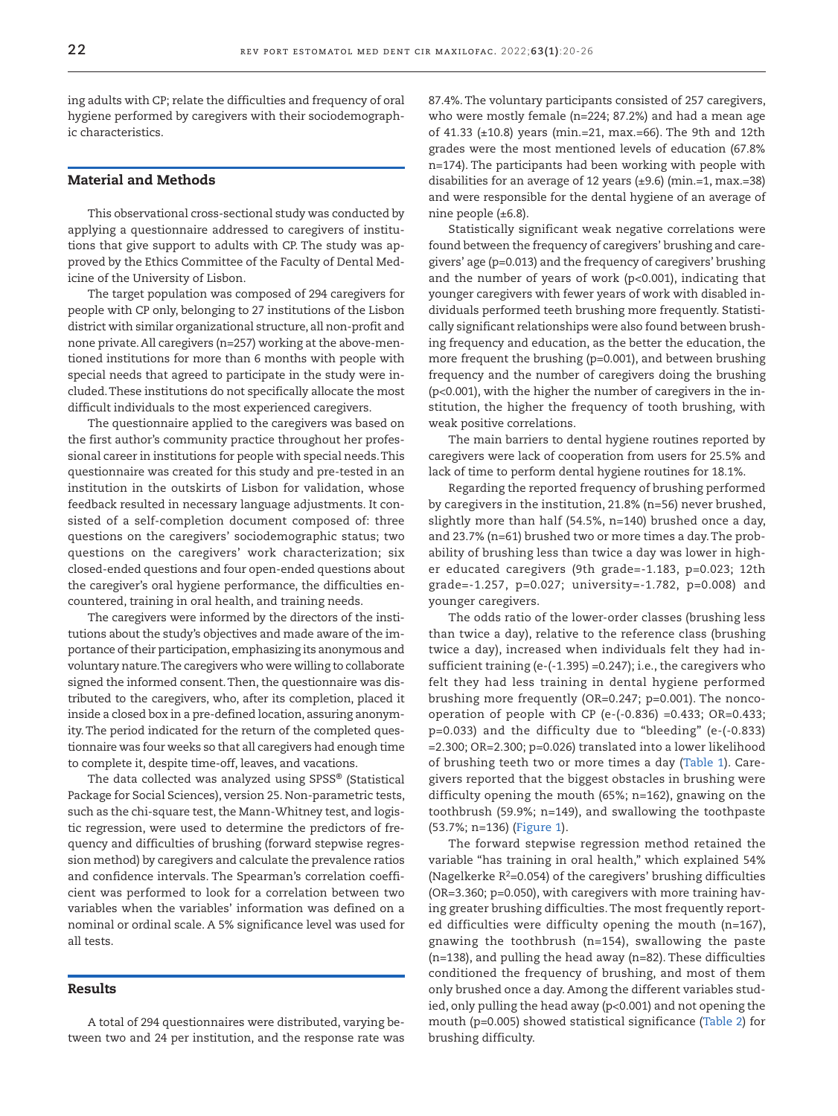ing adults with CP; relate the difficulties and frequency of oral hygiene performed by caregivers with their sociodemographic characteristics.

#### Material and Methods

This observational cross-sectional study was conducted by applying a questionnaire addressed to caregivers of institutions that give support to adults with CP. The study was approved by the Ethics Committee of the Faculty of Dental Medicine of the University of Lisbon.

The target population was composed of 294 caregivers for people with CP only, belonging to 27 institutions of the Lisbon district with similar organizational structure, all non-profit and none private. All caregivers (n=257) working at the above-mentioned institutions for more than 6 months with people with special needs that agreed to participate in the study were included. These institutions do not specifically allocate the most difficult individuals to the most experienced caregivers.

The questionnaire applied to the caregivers was based on the first author's community practice throughout her professional career in institutions for people with special needs. This questionnaire was created for this study and pre-tested in an institution in the outskirts of Lisbon for validation, whose feedback resulted in necessary language adjustments. It consisted of a self-completion document composed of: three questions on the caregivers' sociodemographic status; two questions on the caregivers' work characterization; six closed-ended questions and four open-ended questions about the caregiver's oral hygiene performance, the difficulties encountered, training in oral health, and training needs.

The caregivers were informed by the directors of the institutions about the study's objectives and made aware of the importance of their participation, emphasizing its anonymous and voluntary nature. The caregivers who were willing to collaborate signed the informed consent. Then, the questionnaire was distributed to the caregivers, who, after its completion, placed it inside a closed box in a pre-defined location, assuring anonymity. The period indicated for the return of the completed questionnaire was four weeks so that all caregivers had enough time to complete it, despite time-off, leaves, and vacations.

The data collected was analyzed using SPSS® (Statistical Package for Social Sciences), version 25. Non-parametric tests, such as the chi-square test, the Mann-Whitney test, and logistic regression, were used to determine the predictors of frequency and difficulties of brushing (forward stepwise regression method) by caregivers and calculate the prevalence ratios and confidence intervals. The Spearman's correlation coefficient was performed to look for a correlation between two variables when the variables' information was defined on a nominal or ordinal scale. A 5% significance level was used for all tests.

#### Results

A total of 294 questionnaires were distributed, varying between two and 24 per institution, and the response rate was 87.4%. The voluntary participants consisted of 257 caregivers, who were mostly female (n=224; 87.2%) and had a mean age of 41.33 (±10.8) years (min.=21, max.=66). The 9th and 12th grades were the most mentioned levels of education (67.8% n=174). The participants had been working with people with disabilities for an average of 12 years (±9.6) (min.=1, max.=38) and were responsible for the dental hygiene of an average of nine people (±6.8).

Statistically significant weak negative correlations were found between the frequency of caregivers' brushing and caregivers' age (p=0.013) and the frequency of caregivers' brushing and the number of years of work (p<0.001), indicating that younger caregivers with fewer years of work with disabled individuals performed teeth brushing more frequently. Statistically significant relationships were also found between brushing frequency and education, as the better the education, the more frequent the brushing (p=0.001), and between brushing frequency and the number of caregivers doing the brushing (p<0.001), with the higher the number of caregivers in the institution, the higher the frequency of tooth brushing, with weak positive correlations.

The main barriers to dental hygiene routines reported by caregivers were lack of cooperation from users for 25.5% and lack of time to perform dental hygiene routines for 18.1%.

Regarding the reported frequency of brushing performed by caregivers in the institution, 21.8% (n=56) never brushed, slightly more than half (54.5%, n=140) brushed once a day, and 23.7% (n=61) brushed two or more times a day. The probability of brushing less than twice a day was lower in higher educated caregivers (9th grade=-1.183, p=0.023; 12th grade=-1.257, p=0.027; university=-1.782, p=0.008) and younger caregivers.

The odds ratio of the lower-order classes (brushing less than twice a day), relative to the reference class (brushing twice a day), increased when individuals felt they had insufficient training (e-(-1.395) =0.247); i.e., the caregivers who felt they had less training in dental hygiene performed brushing more frequently (OR=0.247; p=0.001). The noncooperation of people with CP (e-(-0.836) =0.433; OR=0.433; p=0.033) and the difficulty due to "bleeding" (e-(-0.833) =2.300; OR=2.300; p=0.026) translated into a lower likelihood of brushing teeth two or more times a day ([Table 1\)](#page-3-0). Caregivers reported that the biggest obstacles in brushing were difficulty opening the mouth (65%; n=162), gnawing on the toothbrush (59.9%; n=149), and swallowing the toothpaste (53.7%; n=136) [\(Figure 1](#page-3-1)).

The forward stepwise regression method retained the variable "has training in oral health," which explained 54% (Nagelkerke  $R^2$ =0.054) of the caregivers' brushing difficulties (OR=3.360; p=0.050), with caregivers with more training having greater brushing difficulties. The most frequently reported difficulties were difficulty opening the mouth (n=167), gnawing the toothbrush (n=154), swallowing the paste (n=138), and pulling the head away (n=82). These difficulties conditioned the frequency of brushing, and most of them only brushed once a day. Among the different variables studied, only pulling the head away (p<0.001) and not opening the mouth (p=0.005) showed statistical significance ([Table 2\)](#page-3-2) for brushing difficulty.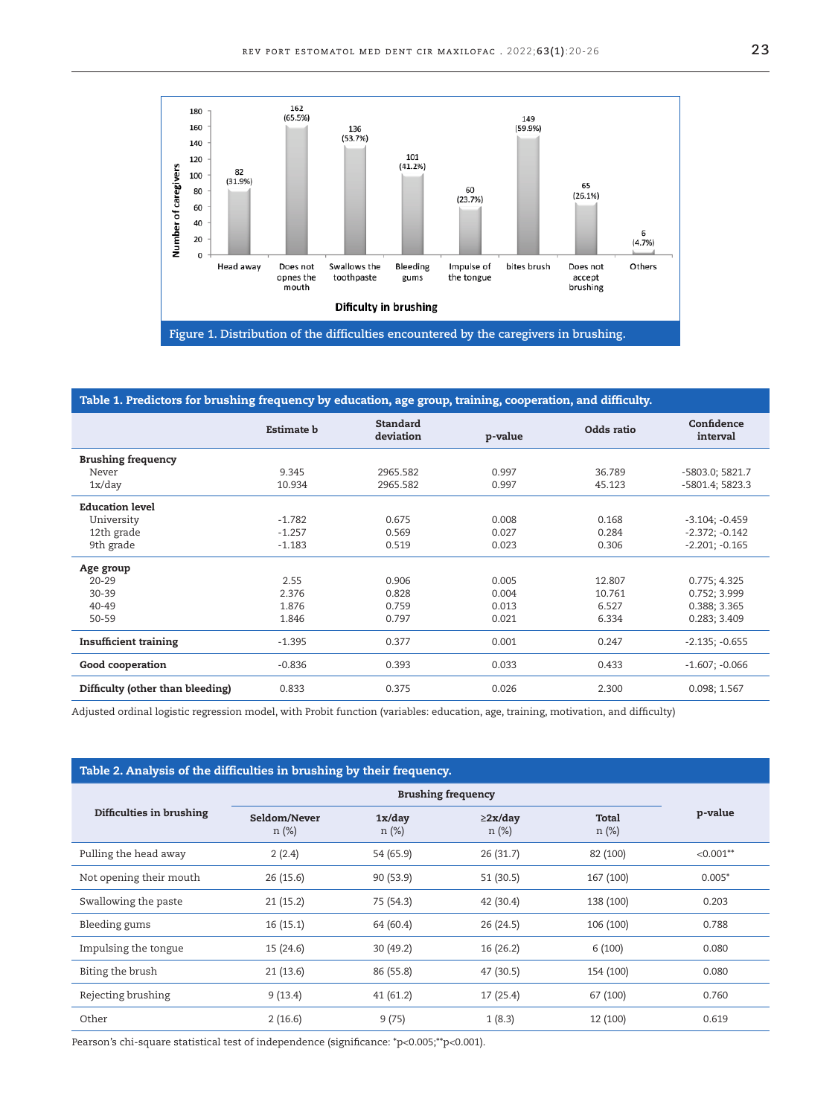

#### <span id="page-3-1"></span><span id="page-3-0"></span>Table 1. Predictors for brushing frequency by education, age group, training, cooperation, and difficulty.

|                                  | Estimate <b>b</b> | <b>Standard</b><br>deviation | p-value | Odds ratio | Confidence<br>interval |
|----------------------------------|-------------------|------------------------------|---------|------------|------------------------|
| <b>Brushing frequency</b>        |                   |                              |         |            |                        |
| Never                            | 9.345             | 2965.582                     | 0.997   | 36.789     | -5803.0; 5821.7        |
| 1x/day                           | 10.934            | 2965.582                     | 0.997   | 45.123     | -5801.4; 5823.3        |
| <b>Education level</b>           |                   |                              |         |            |                        |
| University                       | $-1.782$          | 0.675                        | 0.008   | 0.168      | $-3.104; -0.459$       |
| 12th grade                       | $-1.257$          | 0.569                        | 0.027   | 0.284      | $-2.372; -0.142$       |
| 9th grade                        | $-1.183$          | 0.519                        | 0.023   | 0.306      | $-2.201; -0.165$       |
| Age group                        |                   |                              |         |            |                        |
| $20 - 29$                        | 2.55              | 0.906                        | 0.005   | 12.807     | 0.775; 4.325           |
| $30 - 39$                        | 2.376             | 0.828                        | 0.004   | 10.761     | 0.752; 3.999           |
| 40-49                            | 1.876             | 0.759                        | 0.013   | 6.527      | 0.388; 3.365           |
| $50 - 59$                        | 1.846             | 0.797                        | 0.021   | 6.334      | 0.283; 3.409           |
| <b>Insufficient training</b>     | $-1.395$          | 0.377                        | 0.001   | 0.247      | $-2.135; -0.655$       |
| Good cooperation                 | $-0.836$          | 0.393                        | 0.033   | 0.433      | $-1.607; -0.066$       |
| Difficulty (other than bleeding) | 0.833             | 0.375                        | 0.026   | 2.300      | 0.098; 1.567           |

Adjusted ordinal logistic regression model, with Probit function (variables: education, age, training, motivation, and difficulty)

### <span id="page-3-2"></span>Table 2. Analysis of the difficulties in brushing by their frequency.

| Difficulties in brushing |                          |                    |                           |                |             |
|--------------------------|--------------------------|--------------------|---------------------------|----------------|-------------|
|                          | Seldom/Never<br>$n (\%)$ | 1x/day<br>$n (\%)$ | $\geq$ 2x/day<br>$n (\%)$ | Total<br>n (%) | p-value     |
| Pulling the head away    | 2(2.4)                   | 54 (65.9)          | 26(31.7)                  | 82 (100)       | $< 0.001**$ |
| Not opening their mouth  | 26(15.6)                 | 90 (53.9)          | 51(30.5)                  | 167 (100)      | $0.005*$    |
| Swallowing the paste     | 21(15.2)                 | 75 (54.3)          | 42 (30.4)                 | 138 (100)      | 0.203       |
| Bleeding gums            | 16(15.1)                 | 64 (60.4)          | 26 (24.5)                 | 106 (100)      | 0.788       |
| Impulsing the tongue     | 15 (24.6)                | 30(49.2)           | 16 (26.2)                 | 6(100)         | 0.080       |
| Biting the brush         | 21(13.6)                 | 86 (55.8)          | 47 (30.5)                 | 154 (100)      | 0.080       |
| Rejecting brushing       | 9(13.4)                  | 41 (61.2)          | 17 (25.4)                 | 67 (100)       | 0.760       |
| Other                    | 2(16.6)                  | 9(75)              | 1(8.3)                    | 12 (100)       | 0.619       |

Pearson's chi-square statistical test of independence (significance: \*p<0.005;\*\*p<0.001).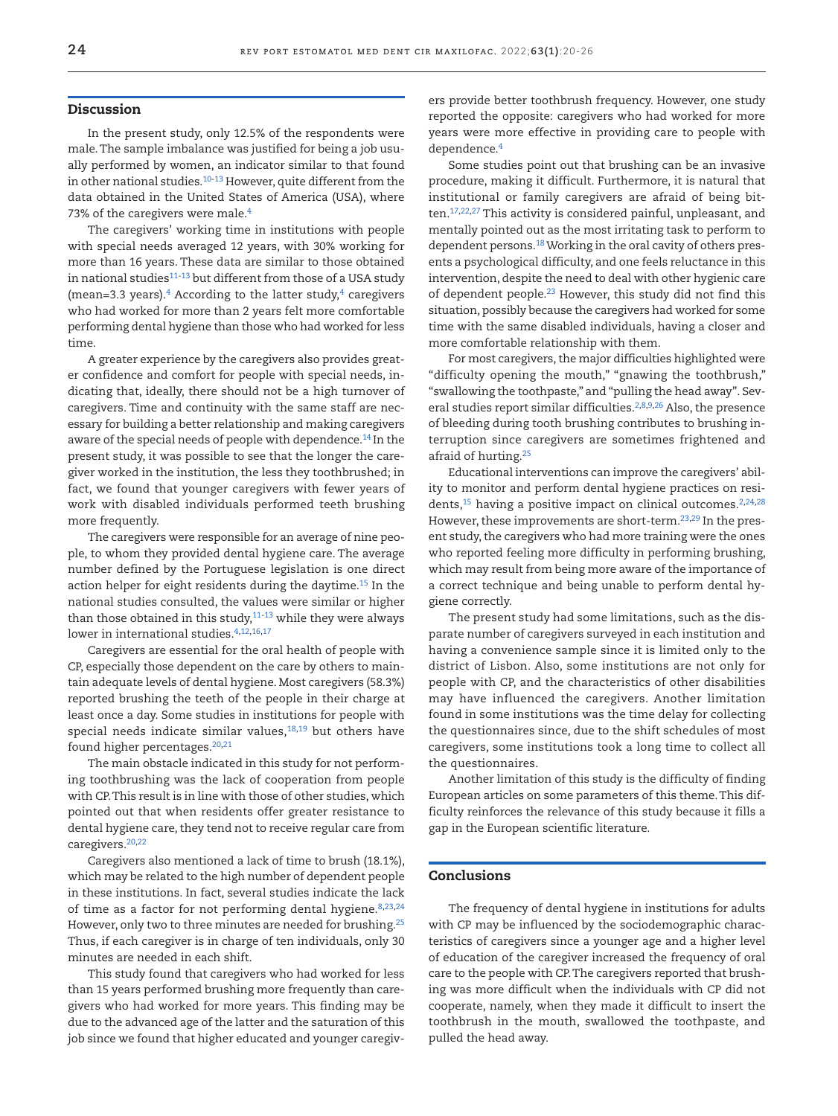#### Discussion

In the present study, only 12.5% of the respondents were male. The sample imbalance was justified for being a job usually performed by women, an indicator similar to that found in other national studies.<sup>10-13</sup> However, quite different from the data obtained in the United States of America (USA), where 73% of the caregivers were male.<sup>[4](#page-5-3)</sup>

The caregivers' working time in institutions with people with special needs averaged 12 years, with 30% working for more than 16 years. These data are similar to those obtained in national studies $11-13$  $11-13$  but different from those of a USA study (mean=3.3 years). $4$  According to the latter study, $4$  caregivers who had worked for more than 2 years felt more comfortable performing dental hygiene than those who had worked for less time.

A greater experience by the caregivers also provides greater confidence and comfort for people with special needs, indicating that, ideally, there should not be a high turnover of caregivers. Time and continuity with the same staff are necessary for building a better relationship and making caregivers aware of the special needs of people with dependence.<sup>[14](#page-5-12)</sup> In the present study, it was possible to see that the longer the caregiver worked in the institution, the less they toothbrushed; in fact, we found that younger caregivers with fewer years of work with disabled individuals performed teeth brushing more frequently.

The caregivers were responsible for an average of nine people, to whom they provided dental hygiene care. The average number defined by the Portuguese legislation is one direct action helper for eight residents during the daytime.<sup>15</sup> In the national studies consulted, the values were similar or higher than those obtained in this study, $11-13$  $11-13$  while they were always lower in international studies.<sup>[4,](#page-5-3)[12](#page-5-14),[16](#page-5-15),[17](#page-5-16)</sup>

Caregivers are essential for the oral health of people with CP, especially those dependent on the care by others to maintain adequate levels of dental hygiene. Most caregivers (58.3%) reported brushing the teeth of the people in their charge at least once a day. Some studies in institutions for people with special needs indicate similar values, $18,19$  but others have found higher percentages.<sup>[20](#page-5-19),[21](#page-5-20)</sup>

The main obstacle indicated in this study for not performing toothbrushing was the lack of cooperation from people with CP. This result is in line with those of other studies, which pointed out that when residents offer greater resistance to dental hygiene care, they tend not to receive regular care from caregivers.<sup>20,[22](#page-5-21)</sup>

Caregivers also mentioned a lack of time to brush (18.1%), which may be related to the high number of dependent people in these institutions. In fact, several studies indicate the lack of time as a factor for not performing dental hygiene.<sup>[8](#page-5-7)[,23](#page-5-22)[,24](#page-6-0)</sup> However, only two to three minutes are needed for brushing[.25](#page-6-1) Thus, if each caregiver is in charge of ten individuals, only 30 minutes are needed in each shift.

This study found that caregivers who had worked for less than 15 years performed brushing more frequently than caregivers who had worked for more years. This finding may be due to the advanced age of the latter and the saturation of this job since we found that higher educated and younger caregiv-

ers provide better toothbrush frequency. However, one study reported the opposite: caregivers who had worked for more years were more effective in providing care to people with dependence[.4](#page-5-3)

Some studies point out that brushing can be an invasive procedure, making it difficult. Furthermore, it is natural that institutional or family caregivers are afraid of being bit-ten.<sup>[17](#page-5-16),[22](#page-5-21),27</sup> This activity is considered painful, unpleasant, and mentally pointed out as the most irritating task to perform to dependent persons.<sup>18</sup> Working in the oral cavity of others presents a psychological difficulty, and one feels reluctance in this intervention, despite the need to deal with other hygienic care of dependent people.<sup>23</sup> However, this study did not find this situation, possibly because the caregivers had worked for some time with the same disabled individuals, having a closer and more comfortable relationship with them.

For most caregivers, the major difficulties highlighted were "difficulty opening the mouth," "gnawing the toothbrush," "swallowing the toothpaste," and "pulling the head away". Sev-eral studies report similar difficulties.<sup>2[,8](#page-5-7),[9](#page-5-8),26</sup> Also, the presence of bleeding during tooth brushing contributes to brushing interruption since caregivers are sometimes frightened and afraid of hurting[.25](#page-6-1)

Educational interventions can improve the caregivers' ability to monitor and perform dental hygiene practices on resi-dents,<sup>15</sup> having a positive impact on clinical outcomes.<sup>2,[24](#page-6-0),[28](#page-6-4)</sup> However, these improvements are short-term.<sup>[23,](#page-5-22)29</sup> In the present study, the caregivers who had more training were the ones who reported feeling more difficulty in performing brushing, which may result from being more aware of the importance of a correct technique and being unable to perform dental hygiene correctly.

The present study had some limitations, such as the disparate number of caregivers surveyed in each institution and having a convenience sample since it is limited only to the district of Lisbon. Also, some institutions are not only for people with CP, and the characteristics of other disabilities may have influenced the caregivers. Another limitation found in some institutions was the time delay for collecting the questionnaires since, due to the shift schedules of most caregivers, some institutions took a long time to collect all the questionnaires.

Another limitation of this study is the difficulty of finding European articles on some parameters of this theme. This difficulty reinforces the relevance of this study because it fills a gap in the European scientific literature.

#### Conclusions

The frequency of dental hygiene in institutions for adults with CP may be influenced by the sociodemographic characteristics of caregivers since a younger age and a higher level of education of the caregiver increased the frequency of oral care to the people with CP. The caregivers reported that brushing was more difficult when the individuals with CP did not cooperate, namely, when they made it difficult to insert the toothbrush in the mouth, swallowed the toothpaste, and pulled the head away.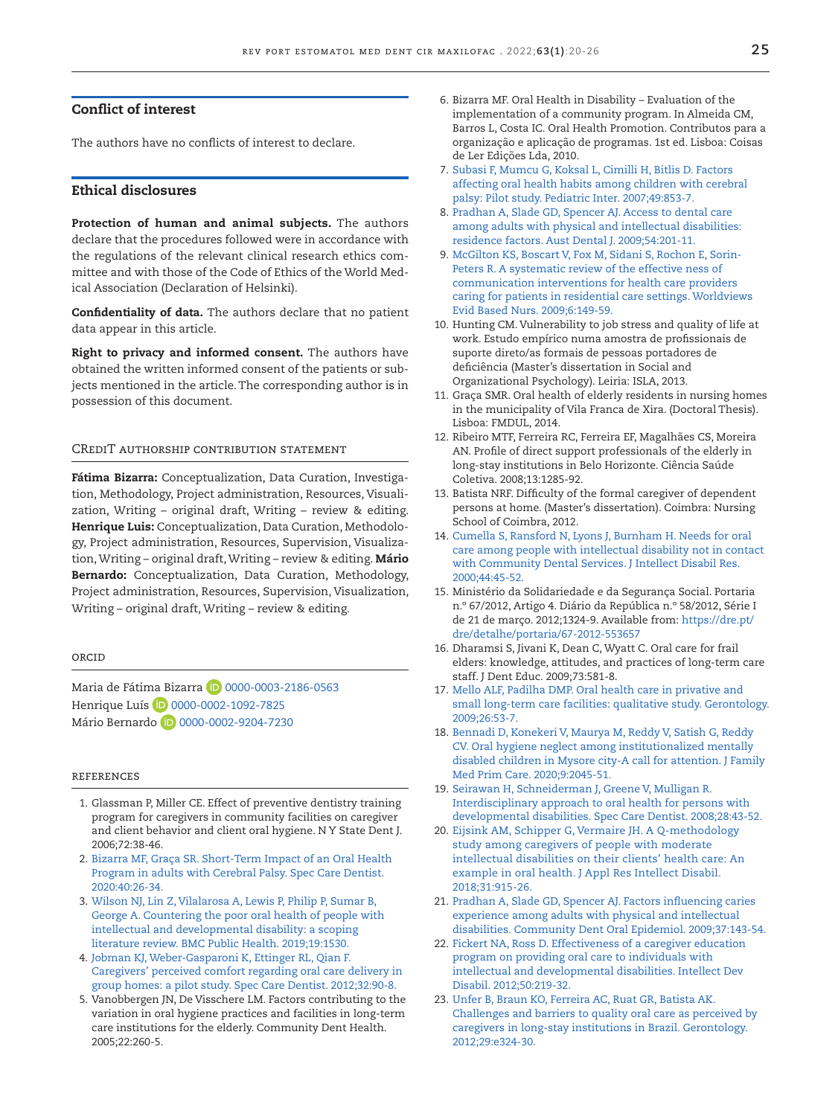### Conflict of interest

The authors have no conflicts of interest to declare.

#### Ethical disclosures

Protection of human and animal subjects. The authors declare that the procedures followed were in accordance with the regulations of the relevant clinical research ethics committee and with those of the Code of Ethics of the World Medical Association (Declaration of Helsinki).

Confidentiality of data. The authors declare that no patient data appear in this article.

Right to privacy and informed consent. The authors have obtained the written informed consent of the patients or subjects mentioned in the article. The corresponding author is in possession of this document.

#### CREDIT AUTHORSHIP CONTRIBUTION STATEMENT

Fátima Bizarra: Conceptualization, Data Curation, Investigation, Methodology, Project administration, Resources, Visualization, Writing – original draft, Writing – review & editing. Henrique Luis: Conceptualization, Data Curation, Methodology, Project administration, Resources, Supervision, Visualization, Writing - original draft, Writing - review & editing. Mário Bernardo: Conceptualization, Data Curation, Methodology, Project administration, Resources, Supervision, Visualization, Writing – original draft, Writing – review & editing.

#### **ORCID**

Maria de Fátima Bizarra 10 [0000-0003-2186-0563](https://orcid.org/0000-0003-2186-0563) Henrique Luís (D [0000-0002-1092-7825](https://orcid.org/0000-0002-1092-7825) Mário Bernardo <sup>1</sup>D [0000-0002-9204-7230](https://orcid.org/0000-0002-9204-7230)

#### references

- <span id="page-5-0"></span>1. Glassman P, Miller CE. Effect of preventive dentistry training program for caregivers in community facilities on caregiver and client behavior and client oral hygiene. N Y State Dent J. 2006;72:38-46.
- <span id="page-5-2"></span>2. [Bizarra MF, Graça SR. Short-Term Impact of an Oral Health](https://doi.org/10.1111/scd.12431)  [Program in adults with Cerebral Palsy. Spec Care Dentist.](https://doi.org/10.1111/scd.12431)  [2020:40:26-34.](https://doi.org/10.1111/scd.12431)
- <span id="page-5-1"></span>3. [Wilson NJ, Lin Z, Vilalarosa A, Lewis P, Philip P, Sumar B,](https://doi.org/10.1186/s12889-019-7863-1)  [George A. Countering the poor oral health of people with](https://doi.org/10.1186/s12889-019-7863-1)  [intellectual and developmental disability: a scoping](https://doi.org/10.1186/s12889-019-7863-1)  [literature review. BMC Public Health. 2019;19:1530.](https://doi.org/10.1186/s12889-019-7863-1)
- <span id="page-5-3"></span>4. [Jobman KJ, Weber-Gasparoni K, Ettinger RL, Qian F.](https://doi.org/10.1111/j.1754-4505.2012.00250.x)  [Caregivers' perceived comfort regarding oral care delivery in](https://doi.org/10.1111/j.1754-4505.2012.00250.x)  [group homes: a pilot study. Spec Care Dentist. 2012;32:90-8.](https://doi.org/10.1111/j.1754-4505.2012.00250.x)
- <span id="page-5-4"></span>5. Vanobbergen JN, De Visschere LM. Factors contributing to the variation in oral hygiene practices and facilities in long-term care institutions for the elderly. Community Dent Health. 2005;22:260-5.
- <span id="page-5-5"></span>6. Bizarra MF. Oral Health in Disability – Evaluation of the implementation of a community program. In Almeida CM, Barros L, Costa IC. Oral Health Promotion. Contributos para a organização e aplicação de programas. 1st ed. Lisboa: Coisas de Ler Edições Lda, 2010.
- <span id="page-5-6"></span>7. [Subasi F, Mumcu G, Koksal L, Cimilli H, Bitlis D. Factors](https://doi.org/10.1111/j.1442-200X.2007.02445.x)  [affecting oral health habits among children with cerebral](https://doi.org/10.1111/j.1442-200X.2007.02445.x)  [palsy: Pilot study. Pediatric Inter. 2007;49:853-7.](https://doi.org/10.1111/j.1442-200X.2007.02445.x)
- <span id="page-5-7"></span>8. [Pradhan A, Slade GD, Spencer AJ. Access to dental care](https://doi.org/10.1111/j.1834-7819.2009.01120.x)  [among adults with physical and intellectual disabilities:](https://doi.org/10.1111/j.1834-7819.2009.01120.x)  [residence factors. Aust Dental J. 2009;54:201-11.](https://doi.org/10.1111/j.1834-7819.2009.01120.x)
- <span id="page-5-8"></span>9. [McGilton KS, Boscart V, Fox M, Sidani S, Rochon E, Sorin-](https://doi.org/10.1111/j.1741-6787.2009.00155.x)[Peters R. A systematic review of the effective ness of](https://doi.org/10.1111/j.1741-6787.2009.00155.x)  [communication interventions for health care providers](https://doi.org/10.1111/j.1741-6787.2009.00155.x)  [caring for patients in residential care settings. Worldviews](https://doi.org/10.1111/j.1741-6787.2009.00155.x)  [Evid Based Nurs. 2009;6:149-59.](https://doi.org/10.1111/j.1741-6787.2009.00155.x)
- <span id="page-5-9"></span>10. Hunting CM. Vulnerability to job stress and quality of life at work. Estudo empírico numa amostra de profissionais de suporte direto/as formais de pessoas portadores de deficiência (Master's dissertation in Social and Organizational Psychology). Leiria: ISLA, 2013.
- <span id="page-5-11"></span>11. Graça SMR. Oral health of elderly residents in nursing homes in the municipality of Vila Franca de Xira. (Doctoral Thesis). Lisboa: FMDUL, 2014.
- <span id="page-5-14"></span>12. Ribeiro MTF, Ferreira RC, Ferreira EF, Magalhães CS, Moreira AN. Profile of direct support professionals of the elderly in long-stay institutions in Belo Horizonte. Ciência Saúde Coletiva. 2008;13:1285-92.
- <span id="page-5-10"></span>13. Batista NRF. Difficulty of the formal caregiver of dependent persons at home. (Master's dissertation). Coimbra: Nursing School of Coimbra, 2012.
- <span id="page-5-12"></span>14. [Cumella S, Ransford N, Lyons J, Burnham H. Needs for oral](https://doi.org/10.1046/j.1365-2788.2000.00252.x)  [care among people with intellectual disability not in contact](https://doi.org/10.1046/j.1365-2788.2000.00252.x)  [with Community Dental Services. J Intellect Disabil Res.](https://doi.org/10.1046/j.1365-2788.2000.00252.x)  [2000;44:45-52.](https://doi.org/10.1046/j.1365-2788.2000.00252.x)
- <span id="page-5-13"></span>15. Ministério da Solidariedade e da Segurança Social. Portaria n.º 67/2012, Artigo 4. Diário da República n.º 58/2012, Série I de 21 de março. 2012;1324-9. Available from: [https://dre.pt/](https://dre.pt/dre/detalhe/portaria/67-2012-553657) [dre/detalhe/portaria/67-2012-553657](https://dre.pt/dre/detalhe/portaria/67-2012-553657)
- <span id="page-5-15"></span>16. Dharamsi S, Jivani K, Dean C, Wyatt C. Oral care for frail elders: knowledge, attitudes, and practices of long-term care staff. J Dent Educ. 2009;73:581-8.
- <span id="page-5-16"></span>17. [Mello ALF, Padilha DMP. Oral health care in privative and](https://doi.org/10.1111/j.1741-2358.2008.00238.x)  [small long-term care facilities: qualitative study. Gerontology.](https://doi.org/10.1111/j.1741-2358.2008.00238.x)  [2009;26:53-7.](https://doi.org/10.1111/j.1741-2358.2008.00238.x)
- <span id="page-5-17"></span>18. [Bennadi D, Konekeri V, Maurya M, Reddy V, Satish G, Reddy](https://doi.org/10.4103/jfmpc.jfmpc_720_19)  [CV. Oral hygiene neglect among institutionalized mentally](https://doi.org/10.4103/jfmpc.jfmpc_720_19)  [disabled children in Mysore city-A call for attention. J Family](https://doi.org/10.4103/jfmpc.jfmpc_720_19)  [Med Prim Care. 2020;9:2045-51.](https://doi.org/10.4103/jfmpc.jfmpc_720_19)
- <span id="page-5-18"></span>19. [Seirawan H, Schneiderman J, Greene V, Mulligan R.](https://doi.org/10.1111/j.1754-4505.2008.00010.x)  [Interdisciplinary approach to oral health for persons with](https://doi.org/10.1111/j.1754-4505.2008.00010.x)  [developmental disabilities. Spec Care Dentist. 2008;28:43-52.](https://doi.org/10.1111/j.1754-4505.2008.00010.x)
- <span id="page-5-19"></span>20. [Eijsink AM, Schipper G, Vermaire JH. A Q-methodology](https://doi.org/10.1111/jar.12451)  [study among caregivers of people with moderate](https://doi.org/10.1111/jar.12451)  [intellectual disabilities on their clients' health care: An](https://doi.org/10.1111/jar.12451)  [example in oral health. J Appl Res Intellect Disabil.](https://doi.org/10.1111/jar.12451)  [2018;31:915-26.](https://doi.org/10.1111/jar.12451)
- <span id="page-5-20"></span>21. [Pradhan A, Slade GD, Spencer AJ. Factors influencing caries](https://doi.org/10.1111/j.1600-0528.2008.00455.x)  [experience among adults with physical and intellectual](https://doi.org/10.1111/j.1600-0528.2008.00455.x)  [disabilities. Community Dent Oral Epidemiol. 2009;37:143-54.](https://doi.org/10.1111/j.1600-0528.2008.00455.x)
- <span id="page-5-21"></span>22. [Fickert NA, Ross D. Effectiveness of a caregiver education](https://doi.org/10.1352/1934-9556-50.3.219)  [program on providing oral care to individuals with](https://doi.org/10.1352/1934-9556-50.3.219)  [intellectual and developmental disabilities. Intellect Dev](https://doi.org/10.1352/1934-9556-50.3.219)  [Disabil. 2012;50:219-32.](https://doi.org/10.1352/1934-9556-50.3.219)
- <span id="page-5-22"></span>23. [Unfer B, Braun KO, Ferreira AC, Ruat GR, Batista AK.](https://doi.org/10.1111/j.1741-2358.2011.00475.x)  [Challenges and barriers to quality oral care as perceived by](https://doi.org/10.1111/j.1741-2358.2011.00475.x)  [caregivers in long-stay institutions in Brazil. Gerontology.](https://doi.org/10.1111/j.1741-2358.2011.00475.x)  [2012;29:e324-30.](https://doi.org/10.1111/j.1741-2358.2011.00475.x)